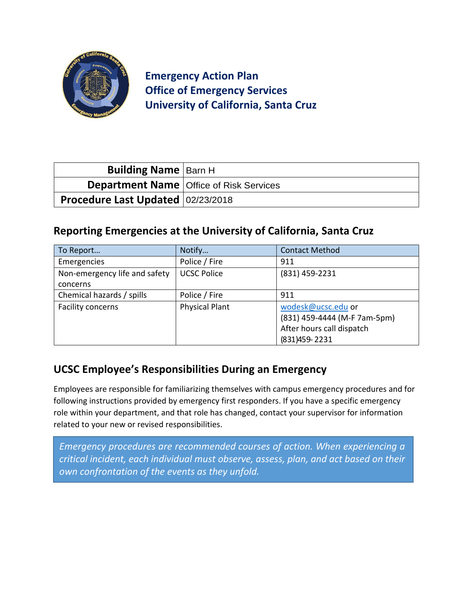

**Emergency Action Plan Office of Emergency Services University of California, Santa Cruz**

| <b>Building Name   Barn H</b>     |                                                  |
|-----------------------------------|--------------------------------------------------|
|                                   | <b>Department Name   Office of Risk Services</b> |
| Procedure Last Updated 02/23/2018 |                                                  |

#### **Reporting Emergencies at the University of California, Santa Cruz**

| To Report                                 | Notify                | <b>Contact Method</b>                                                                             |  |
|-------------------------------------------|-----------------------|---------------------------------------------------------------------------------------------------|--|
| Emergencies                               | Police / Fire         | 911                                                                                               |  |
| Non-emergency life and safety<br>concerns | <b>UCSC Police</b>    | (831) 459-2231                                                                                    |  |
| Chemical hazards / spills                 | Police / Fire         | 911                                                                                               |  |
| Facility concerns                         | <b>Physical Plant</b> | wodesk@ucsc.edu or<br>(831) 459-4444 (M-F 7am-5pm)<br>After hours call dispatch<br>(831) 459-2231 |  |

## **UCSC Employee's Responsibilities During an Emergency**

Employees are responsible for familiarizing themselves with campus emergency procedures and for following instructions provided by emergency first responders. If you have a specific emergency role within your department, and that role has changed, contact your supervisor for information related to your new or revised responsibilities.

*Emergency procedures are recommended courses of action. When experiencing a critical incident, each individual must observe, assess, plan, and act based on their own confrontation of the events as they unfold.*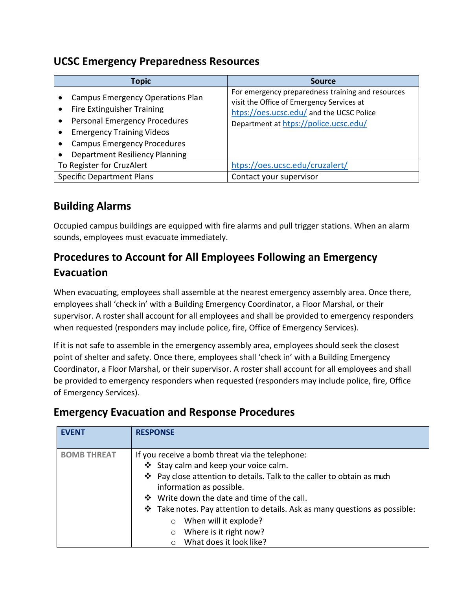#### **UCSC Emergency Preparedness Resources**

| <b>Topic</b>                                                                                                                                                                                                                     | <b>Source</b>                                                                                                                                                                       |  |
|----------------------------------------------------------------------------------------------------------------------------------------------------------------------------------------------------------------------------------|-------------------------------------------------------------------------------------------------------------------------------------------------------------------------------------|--|
| <b>Campus Emergency Operations Plan</b><br>Fire Extinguisher Training<br><b>Personal Emergency Procedures</b><br><b>Emergency Training Videos</b><br><b>Campus Emergency Procedures</b><br><b>Department Resiliency Planning</b> | For emergency preparedness training and resources<br>visit the Office of Emergency Services at<br>htps://oes.ucsc.edu/ and the UCSC Police<br>Department at htps://police.ucsc.edu/ |  |
| To Register for CruzAlert                                                                                                                                                                                                        | htps://oes.ucsc.edu/cruzalert/                                                                                                                                                      |  |
| <b>Specific Department Plans</b>                                                                                                                                                                                                 | Contact your supervisor                                                                                                                                                             |  |

# **Building Alarms**

Occupied campus buildings are equipped with fire alarms and pull trigger stations. When an alarm sounds, employees must evacuate immediately.

# **Procedures to Account for All Employees Following an Emergency Evacuation**

When evacuating, employees shall assemble at the nearest emergency assembly area. Once there, employees shall 'check in' with a Building Emergency Coordinator, a Floor Marshal, or their supervisor. A roster shall account for all employees and shall be provided to emergency responders when requested (responders may include police, fire, Office of Emergency Services).

If it is not safe to assemble in the emergency assembly area, employees should seek the closest point of shelter and safety. Once there, employees shall 'check in' with a Building Emergency Coordinator, a Floor Marshal, or their supervisor. A roster shall account for all employees and shall be provided to emergency responders when requested (responders may include police, fire, Office of Emergency Services).

| <b>EVENT</b>       | <b>RESPONSE</b>                                                                                                                                                                                                                                                                                                                                                                                                                                |
|--------------------|------------------------------------------------------------------------------------------------------------------------------------------------------------------------------------------------------------------------------------------------------------------------------------------------------------------------------------------------------------------------------------------------------------------------------------------------|
| <b>BOMB THREAT</b> | If you receive a bomb threat via the telephone:<br>Stay calm and keep your voice calm.<br>❖ Pay close attention to details. Talk to the caller to obtain as much<br>information as possible.<br>❖ Write down the date and time of the call.<br>$\cdot$ Take notes. Pay attention to details. Ask as many questions as possible:<br>When will it explode?<br>$\circ$<br>Where is it right now?<br>$\circ$<br>What does it look like?<br>$\circ$ |

## **Emergency Evacuation and Response Procedures**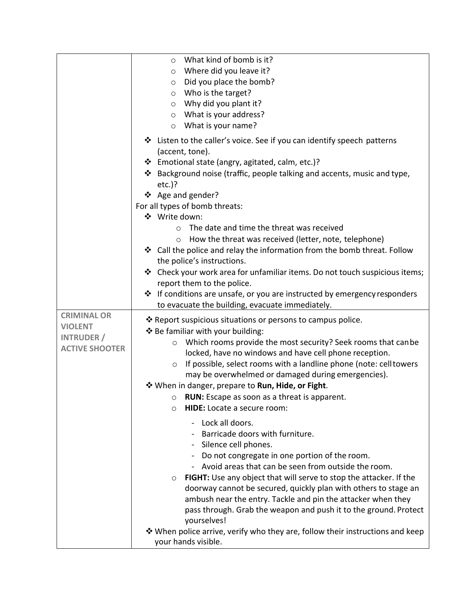|                                            | What kind of bomb is it?<br>$\circ$<br>Where did you leave it?<br>$\circ$<br>Did you place the bomb?<br>$\circ$<br>Who is the target?<br>$\circ$<br>$\circ$ Why did you plant it?<br>$\circ$ What is your address?<br>What is your name?<br>$\circ$<br>❖ Listen to the caller's voice. See if you can identify speech patterns                                                                                                                                                                                                                                                                           |
|--------------------------------------------|----------------------------------------------------------------------------------------------------------------------------------------------------------------------------------------------------------------------------------------------------------------------------------------------------------------------------------------------------------------------------------------------------------------------------------------------------------------------------------------------------------------------------------------------------------------------------------------------------------|
|                                            | (accent, tone).<br>❖ Emotional state (angry, agitated, calm, etc.)?<br>Background noise (traffic, people talking and accents, music and type,<br>❖<br>$etc.$ )?<br>❖ Age and gender?                                                                                                                                                                                                                                                                                                                                                                                                                     |
|                                            | For all types of bomb threats:<br>❖ Write down:                                                                                                                                                                                                                                                                                                                                                                                                                                                                                                                                                          |
| <b>CRIMINAL OR</b><br><b>VIOLENT</b>       | The date and time the threat was received<br>$\Omega$<br>How the threat was received (letter, note, telephone)<br>$\circ$<br>❖ Call the police and relay the information from the bomb threat. Follow<br>the police's instructions.<br>❖ Check your work area for unfamiliar items. Do not touch suspicious items;<br>report them to the police.<br>❖ If conditions are unsafe, or you are instructed by emergency responders<br>to evacuate the building, evacuate immediately.<br>❖ Report suspicious situations or persons to campus police.                                                          |
| <b>INTRUDER</b> /<br><b>ACTIVE SHOOTER</b> | ❖ Be familiar with your building:<br>Which rooms provide the most security? Seek rooms that can be<br>$\circ$<br>locked, have no windows and have cell phone reception.<br>If possible, select rooms with a landline phone (note: cell towers<br>$\circ$<br>may be overwhelmed or damaged during emergencies).<br>❖ When in danger, prepare to Run, Hide, or Fight.<br><b>RUN:</b> Escape as soon as a threat is apparent.<br>$\circ$<br>HIDE: Locate a secure room:<br>$\circ$                                                                                                                          |
|                                            | Lock all doors.<br>Barricade doors with furniture.<br>Silence cell phones.<br>Do not congregate in one portion of the room.<br>Avoid areas that can be seen from outside the room.<br><b>FIGHT:</b> Use any object that will serve to stop the attacker. If the<br>$\circ$<br>doorway cannot be secured, quickly plan with others to stage an<br>ambush near the entry. Tackle and pin the attacker when they<br>pass through. Grab the weapon and push it to the ground. Protect<br>yourselves!<br>❖ When police arrive, verify who they are, follow their instructions and keep<br>your hands visible. |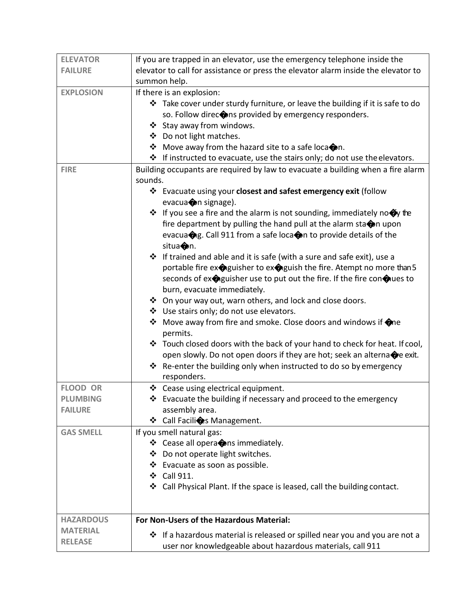| <b>ELEVATOR</b>  | If you are trapped in an elevator, use the emergency telephone inside the                   |  |  |
|------------------|---------------------------------------------------------------------------------------------|--|--|
| <b>FAILURE</b>   | elevator to call for assistance or press the elevator alarm inside the elevator to          |  |  |
|                  | summon help.                                                                                |  |  |
| <b>EXPLOSION</b> | If there is an explosion:                                                                   |  |  |
|                  | ❖ Take cover under sturdy furniture, or leave the building if it is safe to do              |  |  |
|                  | so. Follow direc $\bigcirc$ ns provided by emergency responders.                            |  |  |
|                  | ❖ Stay away from windows.                                                                   |  |  |
|                  | ❖ Do not light matches.                                                                     |  |  |
|                  | ❖ Move away from the hazard site to a safe loca on.                                         |  |  |
|                  | ❖ If instructed to evacuate, use the stairs only; do not use the elevators.                 |  |  |
| <b>FIRE</b>      | Building occupants are required by law to evacuate a building when a fire alarm             |  |  |
|                  | sounds.                                                                                     |  |  |
|                  | ❖ Evacuate using your closest and safest emergency exit (follow                             |  |  |
|                  | evacuanon signage).                                                                         |  |  |
|                  | $\cdot$ If you see a fire and the alarm is not sounding, immediately no $\bullet$ the       |  |  |
|                  | fire department by pulling the hand pull at the alarm sta $\spadesuit$ n upon               |  |  |
|                  | evacuang. Call 911 from a safe loca on to provide details of the                            |  |  |
|                  | situa <sup>o</sup> n.                                                                       |  |  |
|                  | ❖ If trained and able and it is safe (with a sure and safe exit), use a                     |  |  |
|                  | portable fire exteguisher to exteguish the fire. Atempt no more than 5                      |  |  |
|                  | seconds of ex $\bigcirc$ guisher use to put out the fire. If the fire con $\bigcirc$ ues to |  |  |
|                  | burn, evacuate immediately.                                                                 |  |  |
|                  | ❖ On your way out, warn others, and lock and close doors.                                   |  |  |
|                  | ❖ Use stairs only; do not use elevators.                                                    |  |  |
|                  | ❖ Move away from fire and smoke. Close doors and windows if $\bigcirc$ ne                   |  |  |
|                  | permits.                                                                                    |  |  |
|                  | ❖ Touch closed doors with the back of your hand to check for heat. If cool,                 |  |  |
|                  | open slowly. Do not open doors if they are hot; seek an alterna $\bigcirc$ e exit.          |  |  |
|                  | ❖ Re-enter the building only when instructed to do so by emergency                          |  |  |
|                  | responders.                                                                                 |  |  |
| <b>FLOOD OR</b>  | ❖ Cease using electrical equipment.                                                         |  |  |
| <b>PLUMBING</b>  | $\cdot$ Evacuate the building if necessary and proceed to the emergency                     |  |  |
| <b>FAILURE</b>   | assembly area.                                                                              |  |  |
|                  | ❖ Call Facili es Management.                                                                |  |  |
| <b>GAS SMELL</b> | If you smell natural gas:                                                                   |  |  |
|                  | ❖ Cease all opera ons immediately.                                                          |  |  |
|                  | ❖ Do not operate light switches.                                                            |  |  |
|                  | ❖ Evacuate as soon as possible.                                                             |  |  |
|                  | ❖ Call 911.                                                                                 |  |  |
|                  | ❖ Call Physical Plant. If the space is leased, call the building contact.                   |  |  |
|                  |                                                                                             |  |  |
|                  |                                                                                             |  |  |
| <b>HAZARDOUS</b> | For Non-Users of the Hazardous Material:                                                    |  |  |
| <b>MATERIAL</b>  |                                                                                             |  |  |
|                  | $\cdot$ If a hazardous material is released or spilled near you and you are not a           |  |  |
| <b>RELEASE</b>   | user nor knowledgeable about hazardous materials, call 911                                  |  |  |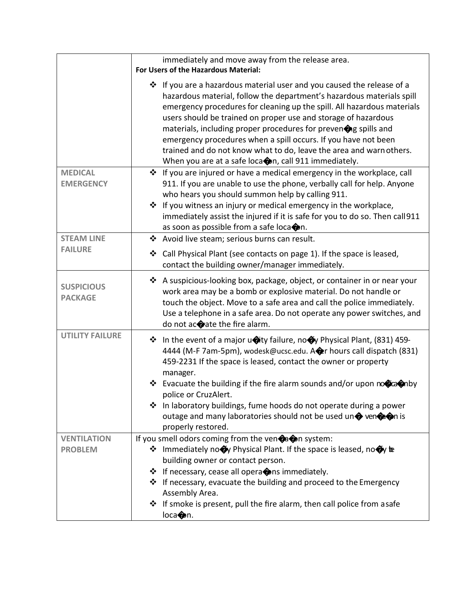|                                     | immediately and move away from the release area.<br>For Users of the Hazardous Material:                                                                                                                                                                                                                                                                                                                                                                                                                                                                          |  |  |
|-------------------------------------|-------------------------------------------------------------------------------------------------------------------------------------------------------------------------------------------------------------------------------------------------------------------------------------------------------------------------------------------------------------------------------------------------------------------------------------------------------------------------------------------------------------------------------------------------------------------|--|--|
|                                     | ❖ If you are a hazardous material user and you caused the release of a<br>hazardous material, follow the department's hazardous materials spill<br>emergency procedures for cleaning up the spill. All hazardous materials<br>users should be trained on proper use and storage of hazardous<br>materials, including proper procedures for preven ng spills and<br>emergency procedures when a spill occurs. If you have not been<br>trained and do not know what to do, leave the area and warn others.<br>When you are at a safe loca on, call 911 immediately. |  |  |
| <b>MEDICAL</b><br><b>EMERGENCY</b>  | ❖ If you are injured or have a medical emergency in the workplace, call<br>911. If you are unable to use the phone, verbally call for help. Anyone<br>who hears you should summon help by calling 911.<br>❖ If you witness an injury or medical emergency in the workplace,<br>immediately assist the injured if it is safe for you to do so. Then call 911<br>as soon as possible from a safe loca on.                                                                                                                                                           |  |  |
| <b>STEAM LINE</b>                   | ❖ Avoid live steam; serious burns can result.                                                                                                                                                                                                                                                                                                                                                                                                                                                                                                                     |  |  |
| <b>FAILURE</b>                      | Call Physical Plant (see contacts on page 1). If the space is leased,<br>❖<br>contact the building owner/manager immediately.                                                                                                                                                                                                                                                                                                                                                                                                                                     |  |  |
| <b>SUSPICIOUS</b><br><b>PACKAGE</b> | A suspicious-looking box, package, object, or container in or near your<br>$\ddot{\bullet}$<br>work area may be a bomb or explosive material. Do not handle or<br>touch the object. Move to a safe area and call the police immediately.<br>Use a telephone in a safe area. Do not operate any power switches, and<br>do not acorate the fire alarm.                                                                                                                                                                                                              |  |  |
| <b>UTILITY FAILURE</b>              | ❖ In the event of a major unity failure, no Oy Physical Plant, (831) 459-<br>4444 (M-F 7am-5pm), wodesk@ucsc.edu. Are hours call dispatch (831)<br>459-2231 If the space is leased, contact the owner or property<br>manager.<br>❖ Evacuate the building if the fire alarm sounds and/or upon noticannely<br>police or CruzAlert.<br>❖ In laboratory buildings, fume hoods do not operate during a power<br>outage and many laboratories should not be used un $\spadesuit$ ven $\spadesuit$ on is<br>properly restored.                                          |  |  |
| <b>VENTILATION</b>                  | If you smell odors coming from the ven $\bigcirc$ a $\bigcirc$ n system:                                                                                                                                                                                                                                                                                                                                                                                                                                                                                          |  |  |
| <b>PROBLEM</b>                      | ❖ Immediately no<br><b>Physical Plant. If the space is leased, no<br/> order<br/> reased<br/> neased<br/> neased<br/> neased<br/> neased<br/> neased<br/> neased<br/> neased<br/> neased<br/> neased<br/> neased</b><br>building owner or contact person.<br>❖ If necessary, cease all opera ons immediately.<br>                                                                                                                                                                                                                                                 |  |  |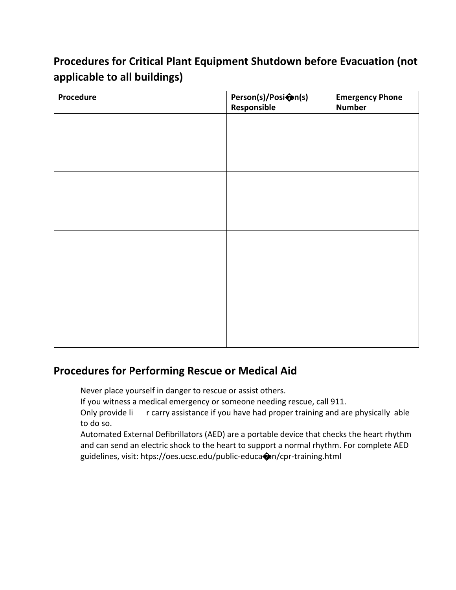# **Procedures for Critical Plant Equipment Shutdown before Evacuation (not applicable to all buildings)**

| Procedure | Person(s)/Posi@n(s)<br>Responsible | <b>Emergency Phone</b><br><b>Number</b> |
|-----------|------------------------------------|-----------------------------------------|
|           |                                    |                                         |
|           |                                    |                                         |
|           |                                    |                                         |
|           |                                    |                                         |
|           |                                    |                                         |
|           |                                    |                                         |
|           |                                    |                                         |
|           |                                    |                                         |
|           |                                    |                                         |
|           |                                    |                                         |
|           |                                    |                                         |
|           |                                    |                                         |

# **Procedures for Performing Rescue or Medical Aid**

- 1. Never place yourself in danger to rescue or assist others.
- 2. If you witness a medical emergency or someone needing rescue, call 911.
- 3. Only provide list or carry assistance if you have had proper training and are physically able to do so.
- 4. Automated External Defibrillators (AED) are a portable device that checks the heart rhythm and can send an electric shock to the heart to support a normal rhythm. For complete AED guidelines, visit: htps://oes.ucsc.edu/public-educa�on/cpr-training.html